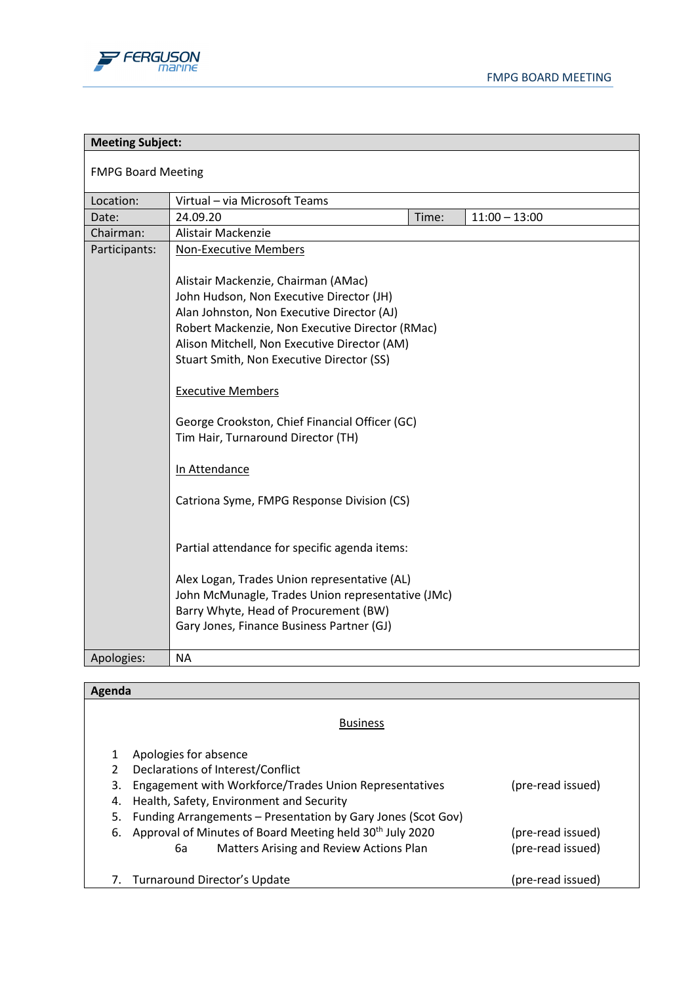

| <b>Meeting Subject:</b>   |                                                                                                                                                                                                                                                                                                                                                                                                                                                    |       |                 |
|---------------------------|----------------------------------------------------------------------------------------------------------------------------------------------------------------------------------------------------------------------------------------------------------------------------------------------------------------------------------------------------------------------------------------------------------------------------------------------------|-------|-----------------|
| <b>FMPG Board Meeting</b> |                                                                                                                                                                                                                                                                                                                                                                                                                                                    |       |                 |
| Location:                 | Virtual - via Microsoft Teams                                                                                                                                                                                                                                                                                                                                                                                                                      |       |                 |
| Date:                     | 24.09.20                                                                                                                                                                                                                                                                                                                                                                                                                                           | Time: | $11:00 - 13:00$ |
| Chairman:                 | Alistair Mackenzie                                                                                                                                                                                                                                                                                                                                                                                                                                 |       |                 |
| Participants:             | <b>Non-Executive Members</b><br>Alistair Mackenzie, Chairman (AMac)<br>John Hudson, Non Executive Director (JH)<br>Alan Johnston, Non Executive Director (AJ)<br>Robert Mackenzie, Non Executive Director (RMac)<br>Alison Mitchell, Non Executive Director (AM)<br>Stuart Smith, Non Executive Director (SS)<br><b>Executive Members</b><br>George Crookston, Chief Financial Officer (GC)<br>Tim Hair, Turnaround Director (TH)<br>In Attendance |       |                 |
|                           | Catriona Syme, FMPG Response Division (CS)<br>Partial attendance for specific agenda items:<br>Alex Logan, Trades Union representative (AL)<br>John McMunagle, Trades Union representative (JMc)<br>Barry Whyte, Head of Procurement (BW)<br>Gary Jones, Finance Business Partner (GJ)                                                                                                                                                             |       |                 |
| Apologies:                | <b>NA</b>                                                                                                                                                                                                                                                                                                                                                                                                                                          |       |                 |

| Agenda        |                                                                      |                   |
|---------------|----------------------------------------------------------------------|-------------------|
|               | <b>Business</b>                                                      |                   |
|               | Apologies for absence                                                |                   |
| $\mathcal{P}$ | Declarations of Interest/Conflict                                    |                   |
| 3.            | Engagement with Workforce/Trades Union Representatives               | (pre-read issued) |
| 4.            | Health, Safety, Environment and Security                             |                   |
| 5.            | Funding Arrangements - Presentation by Gary Jones (Scot Gov)         |                   |
| 6.            | Approval of Minutes of Board Meeting held 30 <sup>th</sup> July 2020 | (pre-read issued) |
|               | Matters Arising and Review Actions Plan<br>6а                        | (pre-read issued) |
| 7.            | Turnaround Director's Update                                         | (pre-read issued) |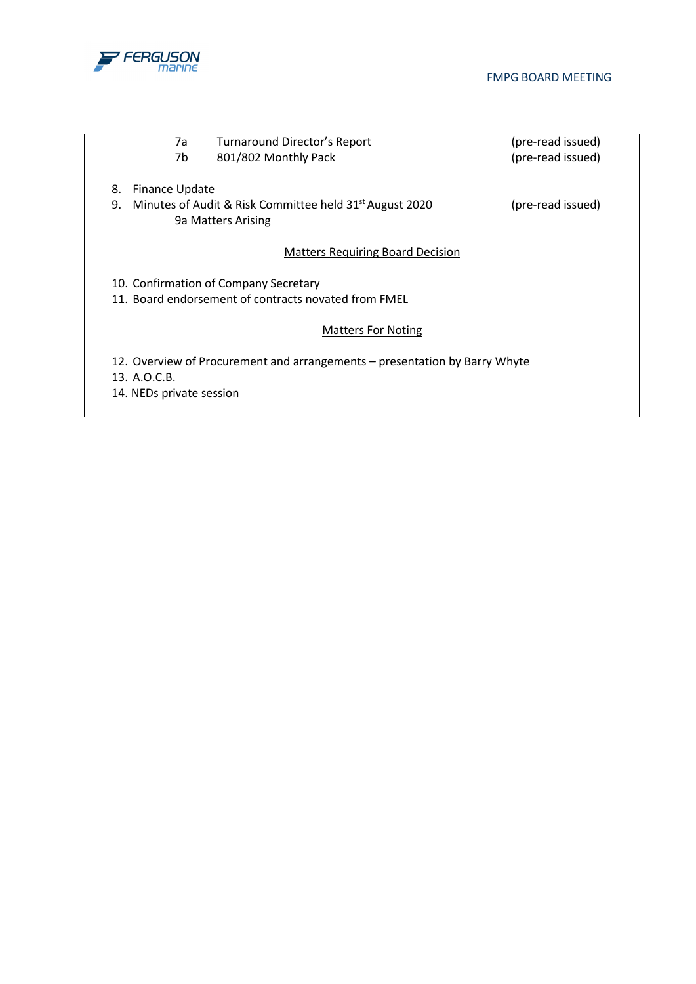

| 7a<br>7b                                 | Turnaround Director's Report<br>801/802 Monthly Pack                                          | (pre-read issued)<br>(pre-read issued) |
|------------------------------------------|-----------------------------------------------------------------------------------------------|----------------------------------------|
| 8.<br>Finance Update<br>9.               | Minutes of Audit & Risk Committee held 31 <sup>st</sup> August 2020<br>9a Matters Arising     | (pre-read issued)                      |
|                                          | <b>Matters Requiring Board Decision</b>                                                       |                                        |
|                                          | 10. Confirmation of Company Secretary<br>11. Board endorsement of contracts novated from FMEL |                                        |
|                                          | <b>Matters For Noting</b>                                                                     |                                        |
| 13. A.O.C.B.<br>14. NEDs private session | 12. Overview of Procurement and arrangements – presentation by Barry Whyte                    |                                        |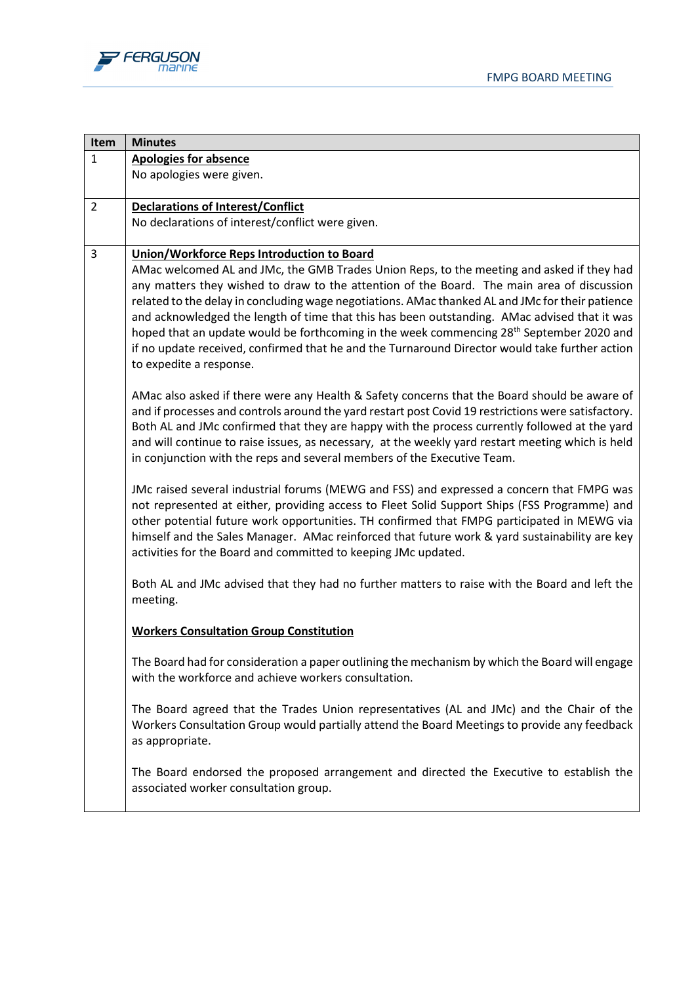



| Item           | <b>Minutes</b>                                                                                                                                                                                       |
|----------------|------------------------------------------------------------------------------------------------------------------------------------------------------------------------------------------------------|
| $\mathbf{1}$   | <b>Apologies for absence</b>                                                                                                                                                                         |
|                | No apologies were given.                                                                                                                                                                             |
| $\overline{2}$ | <b>Declarations of Interest/Conflict</b>                                                                                                                                                             |
|                | No declarations of interest/conflict were given.                                                                                                                                                     |
| 3              | <b>Union/Workforce Reps Introduction to Board</b>                                                                                                                                                    |
|                | AMac welcomed AL and JMc, the GMB Trades Union Reps, to the meeting and asked if they had                                                                                                            |
|                | any matters they wished to draw to the attention of the Board. The main area of discussion                                                                                                           |
|                | related to the delay in concluding wage negotiations. AMac thanked AL and JMc for their patience                                                                                                     |
|                | and acknowledged the length of time that this has been outstanding. AMac advised that it was<br>hoped that an update would be forthcoming in the week commencing 28 <sup>th</sup> September 2020 and |
|                | if no update received, confirmed that he and the Turnaround Director would take further action                                                                                                       |
|                | to expedite a response.                                                                                                                                                                              |
|                | AMac also asked if there were any Health & Safety concerns that the Board should be aware of                                                                                                         |
|                | and if processes and controls around the yard restart post Covid 19 restrictions were satisfactory.                                                                                                  |
|                | Both AL and JMc confirmed that they are happy with the process currently followed at the yard                                                                                                        |
|                | and will continue to raise issues, as necessary, at the weekly yard restart meeting which is held                                                                                                    |
|                | in conjunction with the reps and several members of the Executive Team.                                                                                                                              |
|                | JMc raised several industrial forums (MEWG and FSS) and expressed a concern that FMPG was                                                                                                            |
|                | not represented at either, providing access to Fleet Solid Support Ships (FSS Programme) and                                                                                                         |
|                | other potential future work opportunities. TH confirmed that FMPG participated in MEWG via                                                                                                           |
|                | himself and the Sales Manager. AMac reinforced that future work & yard sustainability are key                                                                                                        |
|                | activities for the Board and committed to keeping JMc updated.                                                                                                                                       |
|                | Both AL and JMc advised that they had no further matters to raise with the Board and left the                                                                                                        |
|                | meeting.                                                                                                                                                                                             |
|                | <b>Workers Consultation Group Constitution</b>                                                                                                                                                       |
|                | The Board had for consideration a paper outlining the mechanism by which the Board will engage                                                                                                       |
|                | with the workforce and achieve workers consultation.                                                                                                                                                 |
|                |                                                                                                                                                                                                      |
|                | The Board agreed that the Trades Union representatives (AL and JMc) and the Chair of the                                                                                                             |
|                | Workers Consultation Group would partially attend the Board Meetings to provide any feedback<br>as appropriate.                                                                                      |
|                |                                                                                                                                                                                                      |
|                | The Board endorsed the proposed arrangement and directed the Executive to establish the                                                                                                              |
|                | associated worker consultation group.                                                                                                                                                                |
|                |                                                                                                                                                                                                      |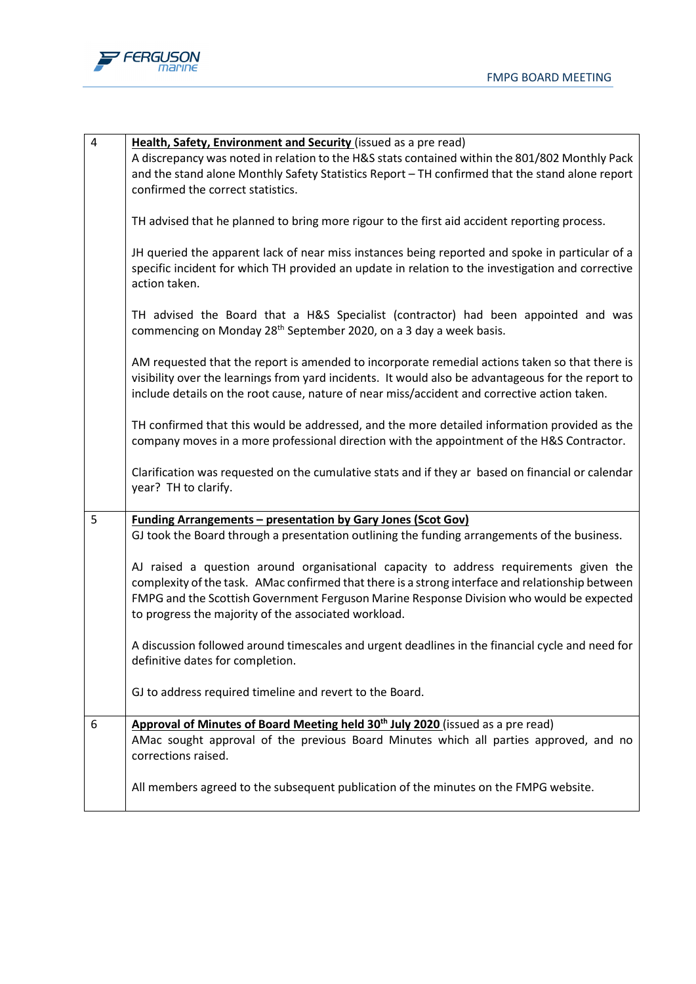

| $\pmb{4}$ | Health, Safety, Environment and Security (issued as a pre read)                                    |
|-----------|----------------------------------------------------------------------------------------------------|
|           | A discrepancy was noted in relation to the H&S stats contained within the 801/802 Monthly Pack     |
|           | and the stand alone Monthly Safety Statistics Report - TH confirmed that the stand alone report    |
|           | confirmed the correct statistics.                                                                  |
|           |                                                                                                    |
|           | TH advised that he planned to bring more rigour to the first aid accident reporting process.       |
|           |                                                                                                    |
|           | JH queried the apparent lack of near miss instances being reported and spoke in particular of a    |
|           | specific incident for which TH provided an update in relation to the investigation and corrective  |
|           | action taken.                                                                                      |
|           |                                                                                                    |
|           | TH advised the Board that a H&S Specialist (contractor) had been appointed and was                 |
|           | commencing on Monday 28 <sup>th</sup> September 2020, on a 3 day a week basis.                     |
|           |                                                                                                    |
|           | AM requested that the report is amended to incorporate remedial actions taken so that there is     |
|           | visibility over the learnings from yard incidents. It would also be advantageous for the report to |
|           | include details on the root cause, nature of near miss/accident and corrective action taken.       |
|           |                                                                                                    |
|           | TH confirmed that this would be addressed, and the more detailed information provided as the       |
|           | company moves in a more professional direction with the appointment of the H&S Contractor.         |
|           |                                                                                                    |
|           | Clarification was requested on the cumulative stats and if they ar based on financial or calendar  |
|           | year? TH to clarify.                                                                               |
|           |                                                                                                    |
| 5         | <b>Funding Arrangements - presentation by Gary Jones (Scot Gov)</b>                                |
|           | GJ took the Board through a presentation outlining the funding arrangements of the business.       |
|           |                                                                                                    |
|           | AJ raised a question around organisational capacity to address requirements given the              |
|           | complexity of the task. AMac confirmed that there is a strong interface and relationship between   |
|           | FMPG and the Scottish Government Ferguson Marine Response Division who would be expected           |
|           | to progress the majority of the associated workload.                                               |
|           |                                                                                                    |
|           | A discussion followed around timescales and urgent deadlines in the financial cycle and need for   |
|           | definitive dates for completion.                                                                   |
|           |                                                                                                    |
|           | GJ to address required timeline and revert to the Board.                                           |
|           |                                                                                                    |
| 6         | Approval of Minutes of Board Meeting held 30 <sup>th</sup> July 2020 (issued as a pre read)        |
|           | AMac sought approval of the previous Board Minutes which all parties approved, and no              |
|           | corrections raised.                                                                                |
|           |                                                                                                    |
|           | All members agreed to the subsequent publication of the minutes on the FMPG website.               |
|           |                                                                                                    |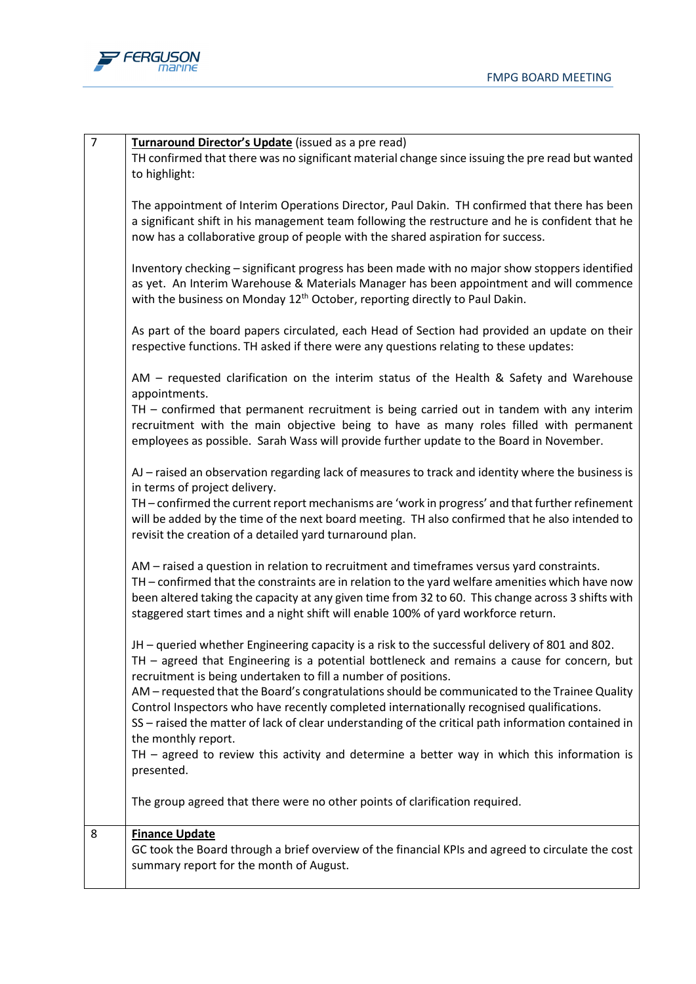

| $\overline{7}$ | Turnaround Director's Update (issued as a pre read)<br>TH confirmed that there was no significant material change since issuing the pre read but wanted<br>to highlight:                                                                                                                                                                                                                  |
|----------------|-------------------------------------------------------------------------------------------------------------------------------------------------------------------------------------------------------------------------------------------------------------------------------------------------------------------------------------------------------------------------------------------|
|                | The appointment of Interim Operations Director, Paul Dakin. TH confirmed that there has been<br>a significant shift in his management team following the restructure and he is confident that he<br>now has a collaborative group of people with the shared aspiration for success.                                                                                                       |
|                | Inventory checking - significant progress has been made with no major show stoppers identified<br>as yet. An Interim Warehouse & Materials Manager has been appointment and will commence<br>with the business on Monday 12 <sup>th</sup> October, reporting directly to Paul Dakin.                                                                                                      |
|                | As part of the board papers circulated, each Head of Section had provided an update on their<br>respective functions. TH asked if there were any questions relating to these updates:                                                                                                                                                                                                     |
|                | AM – requested clarification on the interim status of the Health & Safety and Warehouse<br>appointments.                                                                                                                                                                                                                                                                                  |
|                | TH - confirmed that permanent recruitment is being carried out in tandem with any interim<br>recruitment with the main objective being to have as many roles filled with permanent<br>employees as possible. Sarah Wass will provide further update to the Board in November.                                                                                                             |
|                | AJ - raised an observation regarding lack of measures to track and identity where the business is<br>in terms of project delivery.                                                                                                                                                                                                                                                        |
|                | TH - confirmed the current report mechanisms are 'work in progress' and that further refinement<br>will be added by the time of the next board meeting. TH also confirmed that he also intended to<br>revisit the creation of a detailed yard turnaround plan.                                                                                                                            |
|                | AM – raised a question in relation to recruitment and timeframes versus yard constraints.<br>TH - confirmed that the constraints are in relation to the yard welfare amenities which have now<br>been altered taking the capacity at any given time from 32 to 60. This change across 3 shifts with<br>staggered start times and a night shift will enable 100% of yard workforce return. |
|                | JH - queried whether Engineering capacity is a risk to the successful delivery of 801 and 802.<br>TH - agreed that Engineering is a potential bottleneck and remains a cause for concern, but<br>recruitment is being undertaken to fill a number of positions.                                                                                                                           |
|                | AM - requested that the Board's congratulations should be communicated to the Trainee Quality<br>Control Inspectors who have recently completed internationally recognised qualifications.<br>SS - raised the matter of lack of clear understanding of the critical path information contained in<br>the monthly report.                                                                  |
|                | TH $-$ agreed to review this activity and determine a better way in which this information is<br>presented.                                                                                                                                                                                                                                                                               |
|                | The group agreed that there were no other points of clarification required.                                                                                                                                                                                                                                                                                                               |
| 8              | <b>Finance Update</b><br>GC took the Board through a brief overview of the financial KPIs and agreed to circulate the cost<br>summary report for the month of August.                                                                                                                                                                                                                     |